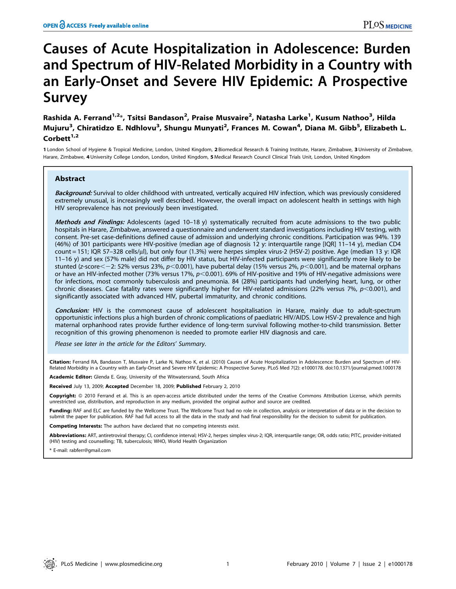# Causes of Acute Hospitalization in Adolescence: Burden and Spectrum of HIV-Related Morbidity in a Country with an Early-Onset and Severe HIV Epidemic: A Prospective Survey

Rashida A. Ferrand<sup>1,2</sup>\*, Tsitsi Bandason<sup>2</sup>, Praise Musvaire<sup>2</sup>, Natasha Larke<sup>1</sup>, Kusum Nathoo<sup>3</sup>, Hilda Mujuru<sup>3</sup>, Chiratidzo E. Ndhlovu<sup>3</sup>, Shungu Munyati<sup>2</sup>, Frances M. Cowan<sup>4</sup>, Diana M. Gibb<sup>5</sup>, Elizabeth L. Corbett $1,2$ 

1 London School of Hygiene & Tropical Medicine, London, United Kingdom, 2 Biomedical Research & Training Institute, Harare, Zimbabwe, 3 University of Zimbabwe, Harare, Zimbabwe, 4 University College London, London, United Kingdom, 5 Medical Research Council Clinical Trials Unit, London, United Kingdom

# Abstract

Background: Survival to older childhood with untreated, vertically acquired HIV infection, which was previously considered extremely unusual, is increasingly well described. However, the overall impact on adolescent health in settings with high HIV seroprevalence has not previously been investigated.

Methods and Findings: Adolescents (aged 10-18 y) systematically recruited from acute admissions to the two public hospitals in Harare, Zimbabwe, answered a questionnaire and underwent standard investigations including HIV testing, with consent. Pre-set case-definitions defined cause of admission and underlying chronic conditions. Participation was 94%. 139 (46%) of 301 participants were HIV-positive (median age of diagnosis 12 y: interquartile range [IQR] 11–14 y), median CD4 count = 151; IQR 57-328 cells/µl), but only four (1.3%) were herpes simplex virus-2 (HSV-2) positive. Age (median 13 y: IQR 11–16 y) and sex (57% male) did not differ by HIV status, but HIV-infected participants were significantly more likely to be stunted (z-score $<-2$ : 52% versus 23%, p $<$ 0.001), have pubertal delay (15% versus 2%, p $<$ 0.001), and be maternal orphans or have an HIV-infected mother (73% versus 17%,  $p<$ 0.001). 69% of HIV-positive and 19% of HIV-negative admissions were for infections, most commonly tuberculosis and pneumonia. 84 (28%) participants had underlying heart, lung, or other chronic diseases. Case fatality rates were significantly higher for HIV-related admissions (22% versus 7%,  $p$ <0.001), and significantly associated with advanced HIV, pubertal immaturity, and chronic conditions.

Conclusion: HIV is the commonest cause of adolescent hospitalisation in Harare, mainly due to adult-spectrum opportunistic infections plus a high burden of chronic complications of paediatric HIV/AIDS. Low HSV-2 prevalence and high maternal orphanhood rates provide further evidence of long-term survival following mother-to-child transmission. Better recognition of this growing phenomenon is needed to promote earlier HIV diagnosis and care.

Please see later in the article for the Editors' Summary.

Citation: Ferrand RA, Bandason T, Musvaire P, Larke N, Nathoo K, et al. (2010) Causes of Acute Hospitalization in Adolescence: Burden and Spectrum of HIV-Related Morbidity in a Country with an Early-Onset and Severe HIV Epidemic: A Prospective Survey. PLoS Med 7(2): e1000178. doi:10.1371/journal.pmed.1000178

Academic Editor: Glenda E. Gray, University of the Witwatersrand, South Africa

Received July 13, 2009; Accepted December 18, 2009; Published February 2, 2010

Copyright: @ 2010 Ferrand et al. This is an open-access article distributed under the terms of the Creative Commons Attribution License, which permits unrestricted use, distribution, and reproduction in any medium, provided the original author and source are credited.

Funding: RAF and ELC are funded by the Wellcome Trust. The Wellcome Trust had no role in collection, analysis or interpretation of data or in the decision to submit the paper for publication. RAF had full access to all the data in the study and had final responsibility for the decision to submit for publication.

Competing Interests: The authors have declared that no competing interests exist.

Abbreviations: ART, antiretroviral therapy; CI, confidence interval; HSV-2, herpes simplex virus-2; IQR, interquartile range; OR, odds ratio; PITC, provider-initiated (HIV) testing and counselling; TB, tuberculosis; WHO, World Health Organization

\* E-mail: rabferr@gmail.com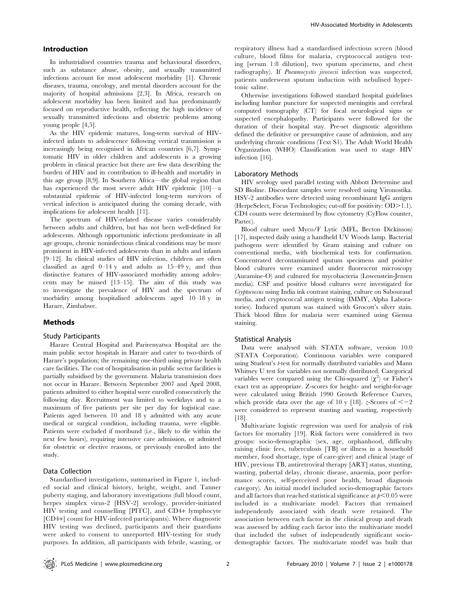# Introduction

In industrialised countries trauma and behavioural disorders, such as substance abuse, obesity, and sexually transmitted infections account for most adolescent morbidity [1]. Chronic diseases, trauma, oncology, and mental disorders account for the majority of hospital admissions [2,3]. In Africa, research on adolescent morbidity has been limited and has predominantly focused on reproductive health, reflecting the high incidence of sexually transmitted infections and obstetric problems among young people [4,5].

As the HIV epidemic matures, long-term survival of HIVinfected infants to adolescence following vertical transmission is increasingly being recognised in African countries [6,7]. Symptomatic HIV in older children and adolescents is a growing problem in clinical practice but there are few data describing the burden of HIV and its contribution to ill-health and mortality in this age group [8,9]. In Southern Africa—the global region that has experienced the most severe adult HIV epidemic [10]—a substantial epidemic of HIV-infected long-term survivors of vertical infection is anticipated during the coming decade, with implications for adolescent health [11].

The spectrum of HIV-related disease varies considerably between adults and children, but has not been well-defined for adolescents. Although opportunistic infections predominate in all age groups, chronic noninfectious clinical conditions may be more prominent in HIV-infected adolescents than in adults and infants [9–12]. In clinical studies of HIV infection, children are often classified as aged  $0-14$  y and adults as  $15-49$  y, and thus distinctive features of HIV-associated morbidity among adolescents may be missed [13–15]. The aim of this study was to investigate the prevalence of HIV and the spectrum of morbidity among hospitalised adolescents aged 10–18 y in Harare, Zimbabwe.

## Methods

# Study Participants

Harare Central Hospital and Parirenyatwa Hospital are the main public sector hospitals in Harare and cater to two-thirds of Harare's population; the remaining one-third using private health care facilities. The cost of hospitalisation in public sector facilities is partially subsidised by the government. Malaria transmission does not occur in Harare. Between September 2007 and April 2008, patients admitted to either hospital were enrolled consecutively the following day. Recruitment was limited to weekdays and to a maximum of five patients per site per day for logistical ease. Patients aged between 10 and 18 y admitted with any acute medical or surgical condition, including trauma, were eligible. Patients were excluded if moribund (i.e., likely to die within the next few hours), requiring intensive care admission, or admitted for obstetric or elective reasons, or previously enrolled into the study.

## Data Collection

Standardised investigations, summarised in Figure 1, included social and clinical history, height, weight, and Tanner puberty staging, and laboratory investigations (full blood count, herpes simplex virus-2 [HSV-2] serology, provider-initiated HIV testing and counselling [PITC], and CD4+ lymphocyte [CD4+] count for HIV-infected participants). Where diagnostic HIV testing was declined, participants and their guardians were asked to consent to unreported HIV-testing for study purposes. In addition, all participants with febrile, wasting, or

respiratory illness had a standardised infectious screen (blood culture, blood films for malaria, cryptococcal antigen testing [serum 1:8 dilution], two sputum specimens, and chest radiography). If *Pneumocystis jirovecii* infection was suspected, patients underwent sputum induction with nebulised hypertonic saline.

Otherwise investigations followed standard hospital guidelines including lumbar puncture for suspected meningitis and cerebral computed tomography (CT) for focal neurological signs or suspected encephalopathy. Participants were followed for the duration of their hospital stay. Pre-set diagnostic algorithms defined the definitive or presumptive cause of admission, and any underlying chronic conditions (Text S1). The Adult World Health Organization (WHO) Classification was used to stage HIV infection [16].

### Laboratory Methods

HIV serology used parallel testing with Abbott Determine and SD Bioline. Discordant samples were resolved using Vironostika. HSV-2 antibodies were detected using recombinant IgG antigen (HerpeSelect, Focus Technologies; cut-off for positivity:  $OD > 1.1$ ). CD4 counts were determined by flow cytometry (CyFlow counter, Partec).

Blood culture used Myco/F Lytic (MFL, Becton Dickinson) [17], inspected daily using a handheld UV Woods lamp. Bacterial pathogens were identified by Gram staining and culture on conventional media, with biochemical tests for confirmation. Concentrated decontaminated sputum specimens and positive blood cultures were examined under fluorescent microscopy (Auramine-O) and cultured for mycobacteria (Lowenstein-Jensen media). CSF and positive blood cultures were investigated for Cryptococcus using India ink contrast staining, culture on Sabouraud media, and cryptococcal antigen testing (IMMY, Alpha Laboratories). Induced sputum was stained with Grocott's silver stain. Thick blood films for malaria were examined using Giemsa staining.

#### Statistical Analysis

Data were analysed with STATA software, version 10.0 (STATA Corporation). Continuous variables were compared using Student's *t*-test for normally distributed variables and Mann Whitney U test for variables not normally distributed. Categorical variables were compared using the Chi-squared  $(\chi^2)$  or Fisher's exact test as appropriate. Z-scores for height- and weight-for-age were calculated using British 1990 Growth Reference Curves, which provide data over the age of 10 y [18]. z-Scores of  $<-2$ were considered to represent stunting and wasting, respectively [18].

Multivariate logistic regression was used for analysis of risk factors for mortality [19]. Risk factors were considered in two groups: socio-demographic (sex, age, orphanhood, difficulty raising clinic fees, tuberculosis [TB] or illness in a household member, food shortage, type of care-giver) and clinical (stage of HIV, previous TB, antiretroviral therapy [ART] status, stunting, wasting, pubertal delay, chronic disease, anaemia, poor performance scores, self-perceived poor health, broad diagnosis category). An initial model included socio-demographic factors and all factors that reached statistical significance at  $p<0.05$  were included in a multivariate model. Factors that remained independently associated with death were retained. The association between each factor in the clinical group and death was assessed by adding each factor into the multivariate model that included the subset of independently significant sociodemographic factors. The multivariate model was built that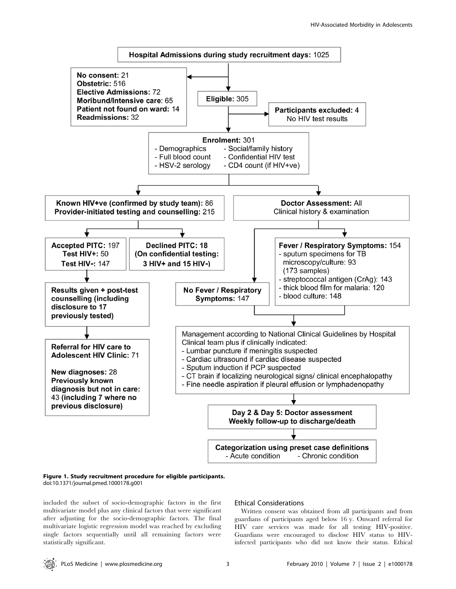

## Figure 1. Study recruitment procedure for eligible participants. doi:10.1371/journal.pmed.1000178.g001

included the subset of socio-demographic factors in the first multivariate model plus any clinical factors that were significant after adjusting for the socio-demographic factors. The final multivariate logistic regression model was reached by excluding single factors sequentially until all remaining factors were statistically significant.

# Ethical Considerations

Written consent was obtained from all participants and from guardians of participants aged below 16 y. Onward referral for HIV care services was made for all testing HIV-positive. Guardians were encouraged to disclose HIV status to HIVinfected participants who did not know their status. Ethical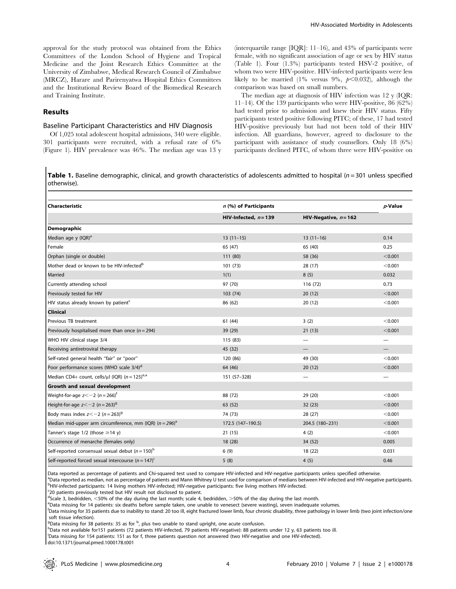approval for the study protocol was obtained from the Ethics Committees of the London School of Hygiene and Tropical Medicine and the Joint Research Ethics Committee at the University of Zimbabwe, Medical Research Council of Zimbabwe (MRCZ), Harare and Parirenyatwa Hospital Ethics Committees and the Institutional Review Board of the Biomedical Research and Training Institute.

## Results

# Baseline Participant Characteristics and HIV Diagnosis

Of 1,025 total adolescent hospital admissions, 340 were eligible. 301 participants were recruited, with a refusal rate of 6% (Figure 1). HIV prevalence was 46%. The median age was 13 y (interquartile range  $\text{IQR}$ : 11–16), and 43% of participants were female, with no significant association of age or sex by HIV status (Table 1). Four (1.3%) participants tested HSV-2 positive, of whom two were HIV-positive. HIV-infected participants were less likely to be married (1% versus 9%,  $p<0.032$ ), although the comparison was based on small numbers.

The median age at diagnosis of HIV infection was 12 y (IQR: 11–14). Of the 139 participants who were HIV-positive, 86 (62%) had tested prior to admission and knew their HIV status. Fifty participants tested positive following PITC; of these, 17 had tested HIV-positive previously but had not been told of their HIV infection. All guardians, however, agreed to disclosure to the participant with assistance of study counsellors. Only 18 (6%) participants declined PITC, of whom three were HIV-positive on

**Table 1.** Baseline demographic, clinical, and growth characteristics of adolescents admitted to hospital ( $n = 301$  unless specified otherwise).

| <b>Characteristic</b>                                        | n (%) of Participants   | $p$ -Value              |                          |
|--------------------------------------------------------------|-------------------------|-------------------------|--------------------------|
|                                                              | HIV-Infected, $n = 139$ | HIV-Negative, $n = 162$ |                          |
| Demographic                                                  |                         |                         |                          |
| Median age y (IQR) <sup>a</sup>                              | $13(11-15)$             | $13(11-16)$             | 0.14                     |
| Female                                                       | 65 (47)                 | 65 (40)                 | 0.25                     |
| Orphan (single or double)                                    | 111 (80)                | 58 (36)                 | < 0.001                  |
| Mother dead or known to be HIV-infected <sup>b</sup>         | 101(73)                 | 28 (17)                 | < 0.001                  |
| Married                                                      | 1(1)                    | 8(5)                    | 0.032                    |
| Currently attending school                                   | 97 (70)                 | 116 (72)                | 0.73                     |
| Previously tested for HIV                                    | 103 (74)                | 20(12)                  | < 0.001                  |
| HIV status already known by patient <sup>c</sup>             | 86 (62)                 | 20(12)                  | < 0.001                  |
| <b>Clinical</b>                                              |                         |                         |                          |
| Previous TB treatment                                        | 61(44)                  | 3(2)                    | < 0.001                  |
| Previously hospitalised more than once ( $n = 294$ )         | 39 (29)                 | 21(13)                  | < 0.001                  |
| WHO HIV clinical stage 3/4                                   | 115 (83)                |                         | $\overline{\phantom{0}}$ |
| Receiving antiretroviral therapy                             | 45 (32)                 |                         |                          |
| Self-rated general health "fair" or "poor"                   | 120 (86)                | 49 (30)                 | < 0.001                  |
| Poor performance scores (WHO scale 3/4) <sup>d</sup>         | 64 (46)                 | 20(12)                  | < 0.001                  |
| Median CD4+ count, cells/µl (IQR) $(n = 125)^{e,a}$          | 151 (57-328)            |                         |                          |
| <b>Growth and sexual development</b>                         |                         |                         |                          |
| Weight-for-age $z<-2$ (n = 266) <sup>t</sup>                 | 88 (72)                 | 29 (20)                 | < 0.001                  |
| Height-for-age $z < -2$ (n = 263) <sup>9</sup>               | 63 (52)                 | 32(23)                  | < 0.001                  |
| Body mass index $z < -2$ (n = 263) <sup>9</sup>              | 74 (73)                 | 28 (27)                 | < 0.001                  |
| Median mid-upper arm circumference, mm (IQR) $(n = 296)^{a}$ | 172.5 (147-190.5)       | 204.5 (180-231)         | < 0.001                  |
| Tanner's stage $1/2$ (those $\geq$ 14 y)                     | 21(15)                  | 4(2)                    | < 0.001                  |
| Occurrence of menarche (females only)                        | 18 (28)                 | 34 (52)                 | 0.005                    |
| Self-reported consensual sexual debut $(n = 150)^h$          | 6(9)                    | 18 (22)                 | 0.031                    |
| Self-reported forced sexual intercourse $(n = 147)^{i}$      | 5(8)                    | 4(5)                    | 0.46                     |

Data reported as percentage of patients and Chi-squared test used to compare HIV-infected and HIV-negative participants unless specified otherwise.

<sup>a</sup>Data reported as median, not as percentage of patients and Mann Whitney U test used for comparison of medians between HIV-infected and HIV-negative participants. <sup>b</sup>HIV-infected participants: 14 living mothers HIV-infected; HIV-negative participants: five living mothers HIV-infected.

<sup>c</sup>20 patients previously tested but HIV result not disclosed to patient.

decale 3, bedridden, <50% of the day during the last month; scale 4, bedridden, >50% of the day during the last month.<br>
Enata missing for 14 patients: six deaths before sample taken, one unable to venesest (severe wasting

<sup>e</sup>Data missing for 14 patients: six deaths before sample taken, one unable to venesect (severe wasting), seven inadequate volumes.

f Data missing for 35 patients due to inability to stand: 20 too ill, eight fractured lower limb, four chronic disability, three pathology in lower limb (two joint infection/one soft tissue infection).

<sup>9</sup>Data missing for 38 patients: 35 as for  $\frac{b}{r}$ , plus two unable to stand upright, one acute confusion.<br>hData pot available for 151 patients (72 patients HIV infected, 70 patients HIV pogative): 88 patien

<sup>h</sup>Data not available for151 patients (72 patients HIV-infected, 79 patients HIV-negative): 88 patients under 12 y, 63 patients too ill.

i Data missing for 154 patients: 151 as for f, three patients question not answered (two HIV-negative and one HIV-infected).

doi:10.1371/journal.pmed.1000178.t001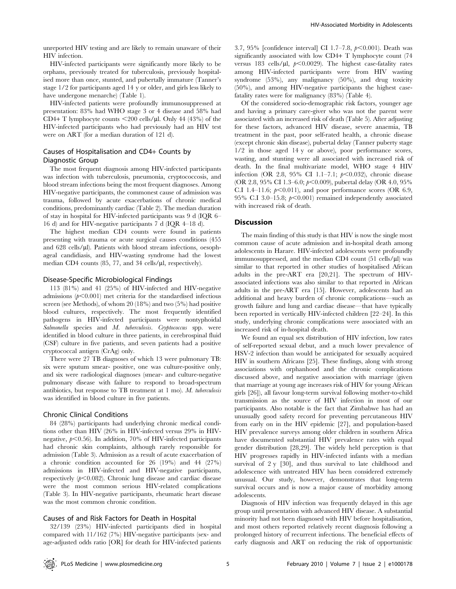unreported HIV testing and are likely to remain unaware of their HIV infection.

HIV-infected participants were significantly more likely to be orphans, previously treated for tuberculosis, previously hospitalised more than once, stunted, and pubertally immature (Tanner's stage 1/2 for participants aged 14 y or older, and girls less likely to have undergone menarche) (Table 1).

HIV-infected patients were profoundly immunosuppressed at presentation: 83% had WHO stage 3 or 4 disease and 58% had CD4+ T lymphocyte counts  $\langle 200 \text{ cells/}\mu$ l. Only 44 (43%) of the HIV-infected participants who had previously had an HIV test were on ART (for a median duration of 121 d).

# Causes of Hospitalisation and CD4+ Counts by Diagnostic Group

The most frequent diagnosis among HIV-infected participants was infection with tuberculosis, pneumonia, cryptococcosis, and blood stream infections being the most frequent diagnoses. Among HIV-negative participants, the commonest cause of admission was trauma, followed by acute exacerbations of chronic medical conditions, predominantly cardiac (Table 2). The median duration of stay in hospital for HIV-infected participants was 9 d (IQR 6– 16 d) and for HIV-negative participants 7 d (IQR 4–18 d).

The highest median CD4 counts were found in patients presenting with trauma or acute surgical causes conditions (455 and  $628$  cells/ $\mu$ l). Patients with blood stream infections, oesophageal candidiasis, and HIV-wasting syndrome had the lowest median CD4 counts  $(85, 77,$  and  $34$  cells/ $\mu$ l, respectively).

## Disease-Specific Microbiological Findings

113 (81%) and 41 (25%) of HIV-infected and HIV-negative admissions ( $p<0.001$ ) met criteria for the standardised infectious screen (see Methods), of whom 20 (18%) and two (5%) had positive blood cultures, respectively. The most frequently identified pathogens in HIV-infected participants were nontyphoidal Salmonella species and M. tuberculosis. Cryptococcus spp. were identified in blood culture in three patients, in cerebrospinal fluid (CSF) culture in five patients, and seven patients had a positive cryptococcal antigen (CrAg) only.

There were 27 TB diagnoses of which 13 were pulmonary TB: six were sputum smear- positive, one was culture-positive only, and six were radiological diagnoses (smear- and culture-negative pulmonary disease with failure to respond to broad-spectrum antibiotics, but response to TB treatment at  $1 \text{ mo}$ ). M. tuberculosis was identified in blood culture in five patients.

## Chronic Clinical Conditions

84 (28%) participants had underlying chronic medical conditions other than HIV (26% in HIV-infected versus 29% in HIVnegative,  $p<0.56$ ). In addition, 70% of HIV-infected participants had chronic skin complaints, although rarely responsible for admission (Table 3). Admission as a result of acute exacerbation of a chronic condition accounted for 26 (19%) and 44 (27%) admissions in HIV-infected and HIV-negative participants, respectively  $(p<0.082)$ . Chronic lung disease and cardiac disease were the most common serious HIV-related complications (Table 3). In HIV-negative participants, rheumatic heart disease was the most common chronic condition.

#### Causes of and Risk Factors for Death in Hospital

32/139 (23%) HIV-infected participants died in hospital compared with 11/162 (7%) HIV-negative participants (sex- and age-adjusted odds ratio [OR] for death for HIV-infected patients

3.7, 95% [confidence interval] CI 1.7–7.8,  $p<0.001$ ). Death was significantly associated with low CD4+ T lymphocyte count (74 versus 183 cells/ $\mu$ l,  $p < 0.0029$ ). The highest case-fatality rates among HIV-infected participants were from HIV wasting syndrome (53%), any malignancy (50%), and drug toxicity (50%), and among HIV-negative participants the highest casefatality rates were for malignancy (83%) (Table 4).

Of the considered socio-demographic risk factors, younger age and having a primary care-giver who was not the parent were associated with an increased risk of death (Table 5). After adjusting for these factors, advanced HIV disease, severe anaemia, TB treatment in the past, poor self-rated health, a chronic disease (except chronic skin disease), pubertal delay (Tanner puberty stage 1/2 in those aged 14 y or above), poor performance scores, wasting, and stunting were all associated with increased risk of death. In the final multivariate model, WHO stage 4 HIV infection (OR 2.8, 95% CI 1.1-7.1;  $p<0.032$ ), chronic disease (OR 2.8, 95% CI 1.3–6.0;  $p<0.009$ ), pubertal delay (OR 4.0, 95%) C.I 1.4–11.6;  $p<0.011$ ), and poor performance scores (OR 6.9, 95% C.I 3.0–15.8;  $p<0.001$ ) remained independently associated with increased risk of death.

### **Discussion**

The main finding of this study is that HIV is now the single most common cause of acute admission and in-hospital death among adolescents in Harare. HIV-infected adolescents were profoundly immunosuppressed, and the median CD4 count  $(51 \text{ cells/}\mu\text{l})$  was similar to that reported in other studies of hospitalised African adults in the pre-ART era [20,21]. The spectrum of HIVassociated infections was also similar to that reported in African adults in the pre-ART era [15]. However, adolescents had an additional and heavy burden of chronic complications—such as growth failure and lung and cardiac disease—that have typically been reported in vertically HIV-infected children [22–24]. In this study, underlying chronic complications were associated with an increased risk of in-hospital death.

We found an equal sex distribution of HIV infection, low rates of self-reported sexual debut, and a much lower prevalence of HSV-2 infection than would be anticipated for sexually acquired HIV in southern Africans [25]. These findings, along with strong associations with orphanhood and the chronic complications discussed above, and negative association with marriage (given that marriage at young age increases risk of HIV for young African girls [26]), all favour long-term survival following mother-to-child transmission as the source of HIV infection in most of our participants. Also notable is the fact that Zimbabwe has had an unusually good safety record for preventing percutaneous HIV from early on in the HIV epidemic [27], and population-based HIV prevalence surveys among older children in southern Africa have documented substantial HIV prevalence rates with equal gender distribution [28,29]. The widely held perception is that HIV progresses rapidly in HIV-infected infants with a median survival of 2 y [30], and thus survival to late childhood and adolescence with untreated HIV has been considered extremely unusual. Our study, however, demonstrates that long-term survival occurs and is now a major cause of morbidity among adolescents.

Diagnosis of HIV infection was frequently delayed in this age group until presentation with advanced HIV disease. A substantial minority had not been diagnosed with HIV before hospitalisation, and most others reported relatively recent diagnosis following a prolonged history of recurrent infections. The beneficial effects of early diagnosis and ART on reducing the risk of opportunistic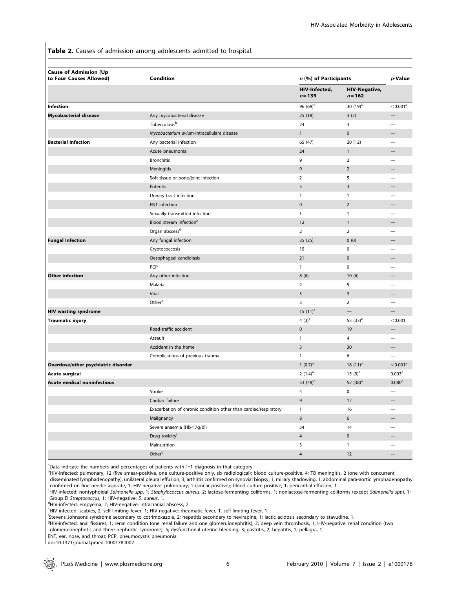Table 2. Causes of admission among adolescents admitted to hospital.

| <b>Cause of Admission (Up</b><br>to Four Causes Allowed) | <b>Condition</b>                                                 | n (%) of Participants      |                                   | $p$ -Value             |
|----------------------------------------------------------|------------------------------------------------------------------|----------------------------|-----------------------------------|------------------------|
|                                                          |                                                                  | HIV-Infected,<br>$n = 139$ | <b>HIV-Negative,</b><br>$n = 162$ |                        |
| Infection                                                |                                                                  | 96 $(69)^a$                | 30 $(19)^a$                       | $<$ 0.001 $^{\circ}$   |
| <b>Mycobacterial disease</b>                             | Any mycobacterial disease                                        | 25 (18)                    | 3(2)                              |                        |
|                                                          | Tuberculosis <sup>b</sup>                                        | 24                         | 3                                 |                        |
|                                                          | Mycobacterium avium-intracellulare disease                       | $\mathbf{1}$               | $\pmb{0}$                         |                        |
| <b>Bacterial infection</b>                               | Any bacterial infection                                          | 65 (47)                    | 20(12)                            |                        |
|                                                          | Acute pneumonia                                                  | 24                         | $\mathbf{1}$                      |                        |
|                                                          | <b>Bronchitis</b>                                                | 9                          | $\overline{2}$                    |                        |
|                                                          | Meningitis                                                       | 9                          | $\overline{2}$                    |                        |
|                                                          | Soft tissue or bone/joint infection                              | $\overline{2}$             | 5                                 |                        |
|                                                          | Enteritis                                                        | 5                          | 3                                 |                        |
|                                                          | Urinary tract infection                                          | $\mathbf{1}$               | $\mathbf{1}$                      |                        |
|                                                          | <b>ENT</b> infection                                             | $\mathbf{0}$               | $\overline{2}$                    |                        |
|                                                          | Sexually transmitted infection                                   | $\mathbf{1}$               | $\mathbf{1}$                      |                        |
|                                                          | Blood stream infection <sup>c</sup>                              | 12                         | $\mathbf{1}$                      |                        |
|                                                          | Organ abscess <sup>d</sup>                                       | $\overline{2}$             | $\overline{2}$                    |                        |
| <b>Fungal Infection</b>                                  | Any fungal infection                                             | 35 (25)                    | 0(0)                              |                        |
|                                                          | Cryptococcosis                                                   | 15                         | $\pmb{0}$                         |                        |
|                                                          | Oesophageal candidiasis                                          | 21                         | $\pmb{0}$                         |                        |
|                                                          | PCP                                                              | $\mathbf{1}$               | $\pmb{0}$                         |                        |
| <b>Other infection</b>                                   | Any other infection                                              | 8(6)                       | 10(6)                             |                        |
|                                                          | Malaria                                                          | $\overline{2}$             | 5                                 |                        |
|                                                          | Viral                                                            | 3                          | 3                                 |                        |
|                                                          | Other <sup>e</sup>                                               | 3                          | $\overline{2}$                    |                        |
| <b>HIV wasting syndrome</b>                              |                                                                  | 15 $(11)^a$                | $\qquad \qquad -$                 |                        |
| <b>Traumatic injury</b>                                  |                                                                  | 4 $(3)^a$                  | 53 $(33)^a$                       | < 0.001                |
|                                                          | Road-traffic accident                                            | $\mathbf 0$                | 19                                |                        |
|                                                          | Assault                                                          | $\mathbf{1}$               | $\overline{4}$                    |                        |
|                                                          | Accident in the home                                             | 3                          | 30                                |                        |
|                                                          | Complications of previous trauma                                 | $\mathbf{1}$               | 6                                 |                        |
| Overdose/other psychiatric disorder                      |                                                                  | 1 $(0.7)^a$                | 18 $(11)^a$                       | $<$ 0.001 <sup>a</sup> |
| Acute surgical                                           |                                                                  | 2 $(1.4)^a$                | 15 $(9)^a$                        | 0.003 <sup>a</sup>     |
| <b>Acute medical noninfectious</b>                       |                                                                  | 53 $(48)^a$                | 52 $(38)^a$                       | 0.080 <sup>a</sup>     |
|                                                          | Stroke                                                           | 4                          | 0                                 |                        |
|                                                          | Cardiac failure                                                  | 9                          | $12\,$                            |                        |
|                                                          | Exacerbation of chronic condition other than cardiac/respiratory | $\mathbf{1}$               | 16                                | $\qquad \qquad -$      |
|                                                          | Malignancy                                                       | 8                          | $\boldsymbol{6}$                  |                        |
|                                                          | Severe anaemia (Hb<7g/dl)                                        | 34                         | 14                                | —                      |
|                                                          | Drug toxicity <sup>f</sup>                                       | $\overline{4}$             | $\pmb{0}$                         |                        |
|                                                          | Malnutrition                                                     | 3                          | $\mathbf{1}$                      |                        |
|                                                          | Other <sup>g</sup>                                               | $\overline{4}$             | 12                                |                        |

aData indicate the numbers and percentages of patients with  $\geq 1$  diagnosis in that category.<br>PHIV inforted pulmonany 12 (five smoor positive, and sulture positive apply six radiological).

<sup>b</sup>HIV-infected: pulmonary, 12 (five smear-positive, one culture-positive only, six radiological); blood culture-positive, 4; TB meningitis, 2 (one with concurrent disseminated lymphadenopathy); unilateral pleural effusion, 3; arthritis confirmed on synovial biopsy, 1; miliary shadowing, 1; abdominal para-aortic lymphadenopathy

confirmed on fine needle aspirate, 1; HIV-negative: pulmonary, 1 (smear-positive); blood culture-positive, 1; pericardial effusion, 1.

c HIV-infected: nontyphoidal Salmonella spp, 1; Staphylococcus aureus, 2; lactose-fermenting coliforms, 1; nonlactose-fermenting coliforms (except Salmonella spp), 1; Group D Streptococcus, 1; HIV-negative: S. aureus, 1.

HIV-infected: empyema, 2; HIV-negative: intracranial abscess, 2.

e HIV-infected: scabies, 2; self-limiting fever, 1; HIV-negative: rheumatic fever, 1, self-limiting fever, 1.

f Stevens Johnsons syndrome secondary to cotrimoxazole, 2; hepatitis secondary to nevirapine, 1; lactic acidosis secondary to stavudine, 1.

g HIV-infected: anal fissures, 1; renal condition (one renal failure and one glomerulonephritis), 2; deep vein thrombosis, 1; HIV-negative: renal condition (two

glomerulonephritis and three nephrotic syndrome), 5; dysfunctional uterine bleeding, 3; gastritis, 2; hepatitis, 1; pellagra, 1.

ENT, ear, nose, and throat; PCP, pneumocystis pneumonia.

doi:10.1371/journal.pmed.1000178.t002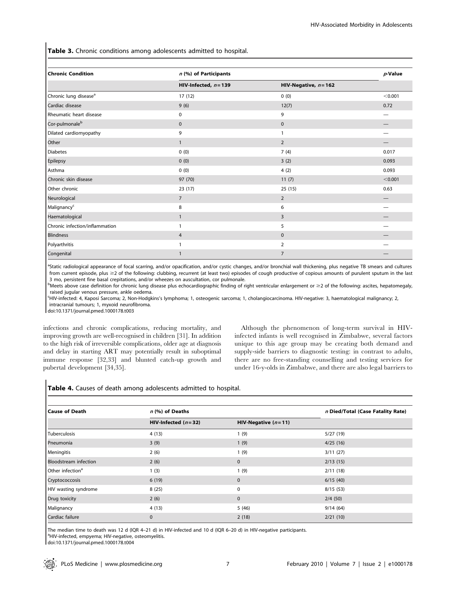Table 3. Chronic conditions among adolescents admitted to hospital.

| <b>Chronic Condition</b>          | n (%) of Participants   | $p$ -Value              |         |
|-----------------------------------|-------------------------|-------------------------|---------|
|                                   | HIV-Infected, $n = 139$ | HIV-Negative, $n = 162$ |         |
| Chronic lung disease <sup>a</sup> | 17 (12)                 | 0(0)                    | < 0.001 |
| Cardiac disease                   | 9(6)                    | 12(7)                   | 0.72    |
| Rheumatic heart disease           | 0                       | 9                       |         |
| Cor-pulmonale <sup>b</sup>        | $\pmb{0}$               | $\pmb{0}$               |         |
| Dilated cardiomyopathy            | 9                       | 1                       | –       |
| Other                             | $\mathbf{1}$            | $\overline{2}$          |         |
| <b>Diabetes</b>                   | 0(0)                    | 7(4)                    | 0.017   |
| Epilepsy                          | 0(0)                    | 3(2)                    | 0.093   |
| Asthma                            | 0(0)                    | 4(2)                    | 0.093   |
| Chronic skin disease              | 97 (70)                 | 11(7)                   | < 0.001 |
| Other chronic                     | 23(17)                  | 25(15)                  | 0.63    |
| Neurological                      | $\overline{7}$          | $\overline{2}$          |         |
| Malignancy <sup>c</sup>           | 8                       | 6                       |         |
| Haematological                    | $\mathbf{1}$            | 3                       |         |
| Chronic infection/inflammation    | 1                       | 5                       |         |
| Blindness                         | 4                       | $\mathbf 0$             |         |
| Polyarthritis                     |                         | $\overline{2}$          |         |
| Congenital                        |                         | 7                       |         |

<sup>a</sup>Static radiological appearance of focal scarring, and/or opacification, and/or cystic changes, and/or bronchial wall thickening, plus negative TB smears and cultures from current episode, plus  $\geq$  of the following: clubbing, recurrent (at least two) episodes of cough productive of copious amounts of purulent sputum in the last 3 mo, persistent fine basal crepitations, and/or wheezes on auscultation, cor pulmonale.

 $^{\text{b}}$ Meets above case definition for chronic lung disease plus echocardiographic finding of right ventricular enlargement or  $\geq$  0 f the following: ascites, hepatomegaly, raised jugular venous pressure, ankle oedema.

c HIV-infected: 4, Kaposi Sarcoma; 2, Non-Hodgkins's lymphoma; 1, osteogenic sarcoma; 1, cholangiocarcinoma. HIV-negative: 3, haematological malignancy; 2, intracranial tumours; 1, myxoid neurofibroma.

doi:10.1371/journal.pmed.1000178.t003

infections and chronic complications, reducing mortality, and improving growth are well-recognised in children [31]. In addition to the high risk of irreversible complications, older age at diagnosis and delay in starting ART may potentially result in suboptimal immune response [32,33] and blunted catch-up growth and pubertal development [34,35].

Although the phenomenon of long-term survival in HIVinfected infants is well recognised in Zimbabwe, several factors unique to this age group may be creating both demand and supply-side barriers to diagnostic testing: in contrast to adults, there are no free-standing counselling and testing services for under 16-y-olds in Zimbabwe, and there are also legal barriers to

# Table 4. Causes of death among adolescents admitted to hospital.

| <b>Cause of Death</b>        | n (%) of Deaths       |                       | n Died/Total (Case Fatality Rate) |  |
|------------------------------|-----------------------|-----------------------|-----------------------------------|--|
|                              | HIV-Infected $(n=32)$ | HIV-Negative $(n=11)$ |                                   |  |
| Tuberculosis                 | 4(13)                 | 1(9)                  | 5/27(19)                          |  |
| Pneumonia                    | 3(9)                  | 1(9)                  | 4/25(16)                          |  |
| Meningitis                   | 2(6)                  | 1(9)                  | 3/11(27)                          |  |
| Bloodstream infection        | 2(6)                  | $\mathbf{0}$          | 2/13(15)                          |  |
| Other infection <sup>a</sup> | 1(3)                  | 1(9)                  | 2/11(18)                          |  |
| Cryptococcosis               | 6(19)                 | $\mathbf{0}$          | 6/15(40)                          |  |
| HIV wasting syndrome         | 8(25)                 | $\mathbf 0$           | 8/15(53)                          |  |
| Drug toxicity                | 2(6)                  | $\mathbf{0}$          | 2/4(50)                           |  |
| Malignancy                   | 4(13)                 | 5(46)                 | 9/14(64)                          |  |
| Cardiac failure              | $\mathbf{0}$          | 2(18)                 | 2/21(10)                          |  |

The median time to death was 12 d (IQR 4–21 d) in HIV-infected and 10 d (IQR 6–20 d) in HIV-negative participants. <sup>a</sup>HIV-infected, empyema; HIV-negative, osteomyelitis.

doi:10.1371/journal.pmed.1000178.t004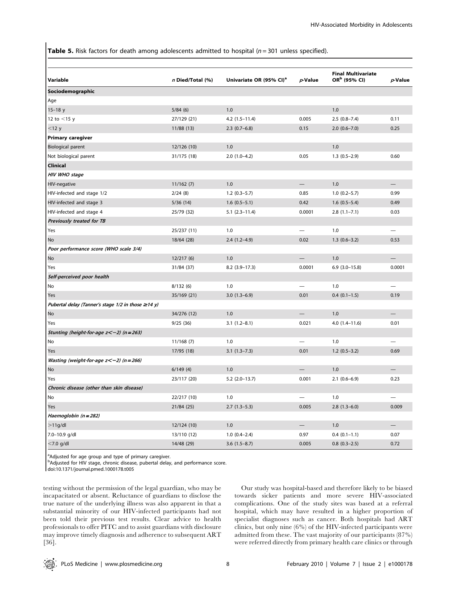**Table 5.** Risk factors for death among adolescents admitted to hospital  $(n = 301)$  unless specified).

| Variable                                           | n Died/Total (%) | Univariate OR (95% CI) <sup>a</sup> | $p$ -Value               | <b>Final Multivariate</b><br>OR <sup>b</sup> (95% CI) | $p$ -Value |
|----------------------------------------------------|------------------|-------------------------------------|--------------------------|-------------------------------------------------------|------------|
| Sociodemographic                                   |                  |                                     |                          |                                                       |            |
| Age                                                |                  |                                     |                          |                                                       |            |
| $15 - 18y$                                         | 5/84(6)          | 1.0                                 |                          | 1.0                                                   |            |
| 12 to $<$ 15 y                                     | 27/129 (21)      | $4.2(1.5-11.4)$                     | 0.005                    | $2.5(0.8 - 7.4)$                                      | 0.11       |
| $<$ 12 $y$                                         | 11/88 (13)       | $2.3(0.7-6.8)$                      | 0.15                     | $2.0(0.6 - 7.0)$                                      | 0.25       |
| <b>Primary caregiver</b>                           |                  |                                     |                          |                                                       |            |
| Biological parent                                  | 12/126 (10)      | 1.0                                 |                          | 1.0                                                   |            |
| Not biological parent                              | 31/175 (18)      | $2.0(1.0-4.2)$                      | 0.05                     | $1.3(0.5-2.9)$                                        | 0.60       |
| Clinical                                           |                  |                                     |                          |                                                       |            |
| HIV WHO stage                                      |                  |                                     |                          |                                                       |            |
| HIV-negative                                       | 11/162(7)        | 1.0                                 | $\overline{\phantom{0}}$ | 1.0                                                   |            |
| HIV-infected and stage 1/2                         | 2/24(8)          | $1.2(0.3-5.7)$                      | 0.85                     | $1.0(0.2-5.7)$                                        | 0.99       |
| HIV-infected and stage 3                           | 5/36(14)         | $1.6(0.5-5.1)$                      | 0.42                     | $1.6(0.5-5.4)$                                        | 0.49       |
| HIV-infected and stage 4                           | 25/79 (32)       | $5.1(2.3-11.4)$                     | 0.0001                   | $2.8(1.1 - 7.1)$                                      | 0.03       |
| Previously treated for TB                          |                  |                                     |                          |                                                       |            |
| Yes                                                | 25/237 (11)      | 1.0                                 |                          | 1.0                                                   |            |
| No                                                 | 18/64 (28)       | $2.4(1.2-4.9)$                      | 0.02                     | $1.3(0.6-3.2)$                                        | 0.53       |
| Poor performance score (WHO scale 3/4)             |                  |                                     |                          |                                                       |            |
| No                                                 | 12/217(6)        | 1.0                                 |                          | 1.0                                                   |            |
| Yes                                                | 31/84 (37)       | $8.2$ (3.9-17.3)                    | 0.0001                   | $6.9(3.0-15.8)$                                       | 0.0001     |
| Self-perceived poor health                         |                  |                                     |                          |                                                       |            |
| No                                                 | 8/132(6)         | 1.0                                 |                          | 1.0                                                   |            |
| Yes                                                | 35/169 (21)      | $3.0(1.3-6.9)$                      | 0.01                     | $0.4(0.1-1.5)$                                        | 0.19       |
| Pubertal delay (Tanner's stage 1/2 in those ≥14 y) |                  |                                     |                          |                                                       |            |
| No                                                 | 34/276 (12)      | 1.0                                 |                          | 1.0                                                   |            |
| Yes                                                | 9/25(36)         | $3.1(1.2 - 8.1)$                    | 0.021                    | $4.0(1.4 - 11.6)$                                     | 0.01       |
| Stunting (height-for-age $z<$ -2) (n = 263)        |                  |                                     |                          |                                                       |            |
| No                                                 | 11/168(7)        | 1.0                                 |                          | 1.0                                                   |            |
| Yes                                                | 17/95 (18)       | $3.1(1.3 - 7.3)$                    | 0.01                     | $1.2(0.5-3.2)$                                        | 0.69       |
| Wasting (weight-for-age $z < -2$ ) (n = 266)       |                  |                                     |                          |                                                       |            |
| No                                                 | 6/149(4)         | 1.0                                 |                          | 1.0                                                   |            |
| Yes                                                | 23/117 (20)      | $5.2$ (2.0-13.7)                    | 0.001                    | $2.1(0.6-6.9)$                                        | 0.23       |
| Chronic disease (other than skin disease)          |                  |                                     |                          |                                                       |            |
| No                                                 | 22/217 (10)      | 1.0                                 |                          | 1.0                                                   |            |
| Yes                                                | 21/84(25)        | $2.7(1.3-5.3)$                      | 0.005                    | $2.8(1.3-6.0)$                                        | 0.009      |
| Haemoglobin (n = 282)                              |                  |                                     |                          |                                                       |            |
| >11g/dl                                            | 12/124 (10)      | 1.0                                 |                          | 1.0                                                   |            |
| 7.0-10.9 g/dl                                      | 13/110 (12)      | $1.0(0.4-2.4)$                      | 0.97                     | $0.4(0.1-1.1)$                                        | 0.07       |
| $<$ 7.0 g/dl                                       | 14/48 (29)       | $3.6(1.5-8.7)$                      | 0.005                    | $0.8$ $(0.3-2.5)$                                     | 0.72       |

<sup>a</sup>Adjusted for age group and type of primary caregiver.

<sup>b</sup>Adjusted for HIV stage, chronic disease, pubertal delay, and performance score.

doi:10.1371/journal.pmed.1000178.t005

testing without the permission of the legal guardian, who may be incapacitated or absent. Reluctance of guardians to disclose the true nature of the underlying illness was also apparent in that a substantial minority of our HIV-infected participants had not been told their previous test results. Clear advice to health professionals to offer PITC and to assist guardians with disclosure may improve timely diagnosis and adherence to subsequent ART [36].

Our study was hospital-based and therefore likely to be biased towards sicker patients and more severe HIV-associated complications. One of the study sites was based at a referral hospital, which may have resulted in a higher proportion of specialist diagnoses such as cancer. Both hospitals had ART clinics, but only nine (6%) of the HIV-infected participants were admitted from these. The vast majority of our participants (87%) were referred directly from primary health care clinics or through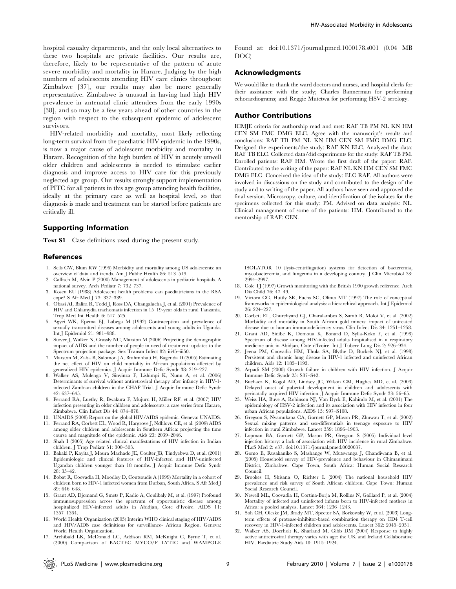hospital casualty departments, and the only local alternatives to these two hospitals are private facilities. Our results are, therefore, likely to be representative of the pattern of acute severe morbidity and mortality in Harare. Judging by the high numbers of adolescents attending HIV care clinics throughout Zimbabwe [37], our results may also be more generally representative. Zimbabwe is unusual in having had high HIV prevalence in antenatal clinic attendees from the early 1990s [38], and so may be a few years ahead of other countries in the region with respect to the subsequent epidemic of adolescent survivors.

HIV-related morbidity and mortality, most likely reflecting long-term survival from the paediatric HIV epidemic in the 1990s, is now a major cause of adolescent morbidity and mortality in Harare. Recognition of the high burden of HIV in acutely unwell older children and adolescents is needed to stimulate earlier diagnosis and improve access to HIV care for this previously neglected age group. Our results strongly support implementation of PITC for all patients in this age group attending health facilities, ideally at the primary care as well as hospital level, so that diagnosis is made and treatment can be started before patients are critically ill.

# Supporting Information

Text S1 Case definitions used during the present study.

## References

- 1. Sells CW, Blum RW (1996) Morbidity and mortality among US adolescents: an overview of data and trends. Am J Public Health 86: 513–519.
- 2. Caflisch M, Alvin P (2000) Management of adolescents in pediatric hospitals. A national survey. Arch Pediatr 7: 732–737.
- 3. Rosen EU (1988) Adolescent health problems–can paediatricians in the RSA cope? S Afr Med J 73: 337–339.
- 4. Obasi AI, Balira R, Todd J, Ross DA, Changalucha J, et al. (2001) Prevalence of HIV and Chlamydia trachomatis infection in 15–19-year olds in rural Tanzania. Trop Med Int Health 6: 517–525.
- 5. Agyei WK, Epema EJ, Lubega M (1992) Contraception and prevalence of sexually transmitted diseases among adolescents and young adults in Uganda. Int J Epidemiol 21: 981–988.
- 6. Stover J, Walker N, Grassly NC, Marston M (2006) Projecting the demographic impact of AIDS and the number of people in need of treatment: updates to the Spectrum projection package. Sex Transm Infect 82: iii45–iii50.
- 7. Marston M, Zaba B, Salomon JA, Brahmbhatt H, Bagenda D (2005) Estimating the net effect of HIV on child mortality in African populations affected by generalized HIV epidemics. J Acquir Immune Defic Syndr 38: 219–227.
- 8. Walker AS, Mulenga V, Sinyinza F, Lishimpi K, Nunn A, et al. (2006) Determinants of survival without antiretroviral therapy after infancy in HIV-1 infected Zambian children in the CHAP Trial. J Acquir Immune Defic Syndr 42: 637–645.
- 9. Ferrand RA, Luethy R, Bwakura F, Mujuru H, Miller RF, et al. (2007) HIV infection presenting in older children and adolescents: a case series from Harare, Zimbabwe. Clin Infect Dis 44: 874–878.
- 10. UNAIDS (2008) Report on the global HIV/AIDS epidemic. Geneva: UNAIDS.
- 11. Ferrand RA, Corbett EL, Wood R, Hargrove J, Ndhlovu CE, et al. (2009) AIDS among older children and adolescents in Southern Africa: projecting the time course and magnitude of the epidemic. Aids 23: 2039–2046.
- 12. Shah I (2005) Age related clinical manifestations of HIV infection in Indian children. J Trop Pediatr 51: 300–303.
- 13. Bakaki P, Kayita J, Moura Machado JE, Coulter JB, Tindyebwa D, et al. (2001) Epidemiologic and clinical features of HIV-infected and HIV-uninfected Ugandan children younger than 18 months. J Acquir Immune Defic Syndr 28: 35–42.
- 14. Bobat R, Coovadia H, Moodley D, Coutsoudis A (1999) Mortality in a cohort of children born to HIV-1 infected women from Durban, South Africa. S Afr Med J 89: 646–648.
- 15. Grant AD, Djomand G, Smets P, Kadio A, Coulibaly M, et al. (1997) Profound immunosuppression across the spectrum of opportunistic disease among hospitalized HIV-infected adults in Abidjan, Cote d'Ivoire. AIDS 11: 1357–1364.
- 16. World Health Organization (2005) Interim WHO clinical staging of HIV/AIDS and HIV/AIDS case definitions for surveillance- African Region. Geneva: World Health Organization.
- 17. Archibald LK, McDonald LC, Addison RM, McKnight C, Byrne T, et al. (2000) Comparison of BACTEC MYCO/F LYTIC and WAMPOLE

Found at: doi:10.1371/journal.pmed.1000178.s001 (0.04 MB DOC)

# Acknowledgments

We would like to thank the ward doctors and nurses, and hospital clerks for their assistance with the study; Charles Bannerman for performing echocardiograms; and Reggie Mutetwa for performing HSV-2 serology.

## Author Contributions

ICMJE criteria for authorship read and met: RAF TB PM NL KN HM CEN SM FMC DMG ELC. Agree with the manuscript's results and conclusions: RAF TB PM NL KN HM CEN SM FMC DMG ELC. Designed the experiments/the study: RAF KN ELC. Analyzed the data: RAF TB ELC. Collected data/did experiments for the study: RAF TB PM. Enrolled patients: RAF HM. Wrote the first draft of the paper: RAF. Contributed to the writing of the paper: RAF NL KN HM CEN SM FMC DMG ELC. Conceived the idea of the study: ELC RAF. All authors were involved in discussions on the study and contributed to the design of the study and to writing of the paper. All authors have seen and approved the final version. Microscopy, culture, and identification of the isolates for the specimens collected for this study: PM. Advised on data analysis: NL. Clinical management of some of the patients: HM. Contributed to the mentorship of RAF: CEN.

ISOLATOR 10 (lysis-centrifugation) systems for detection of bacteremia, mycobacteremia, and fungemia in a developing country. J Clin Microbiol 38: 2994–2997.

- 18. Cole TJ (1997) Growth monitoring with the British 1990 growth reference. Arch Dis Child 76: 47–49.
- 19. Victora CG, Huttly SR, Fuchs SC, Olinto MT (1997) The role of conceptual frameworks in epidemiological analysis: a hierarchical approach. Int J Epidemiol 26: 224–227.
- 20. Corbett EL, Churchyard GJ, Charalambos S, Samb B, Moloi V, et al. (2002) Morbidity and mortality in South African gold miners: impact of untreated disease due to human immunodeficiency virus. Clin Infect Dis 34: 1251–1258.
- 21. Grant AD, Sidibe K, Domoua K, Bonard D, Sylla-Koko F, et al. (1998) Spectrum of disease among HIV-infected adults hospitalised in a respiratory medicine unit in Abidjan, Cote d'Ivoire. Int J Tuberc Lung Dis 2: 926–934.
- Jeena PM, Coovadia HM, Thula SA, Blythe D, Buckels NJ, et al. (1998) Persistent and chronic lung disease in HIV-1 infected and uninfected African children. Aids 12: 1185–1193.
- 23. Arpadi SM (2000) Growth failure in children with HIV infection. J Acquir Immune Defic Syndr 25: S37–S42.
- 24. Buchacz K, Rogol AD, Lindsey JC, Wilson CM, Hughes MD, et al. (2003) Delayed onset of pubertal development in children and adolescents with perinatally acquired HIV infection. J Acquir Immune Defic Syndr 33: 56–65.
- 25. Weiss HA, Buve A, Robinson NJ, Van Dyck E, Kahindo M, et al. (2001) The epidemiology of HSV-2 infection and its association with HIV infection in four urban African populations. AIDS 15: S97–S108.
- 26. Gregson S, Nyamukapa CA, Garnett GP, Mason PR, Zhuwau T, et al. (2002) Sexual mixing patterns and sex-differentials in teenage exposure to HIV infection in rural Zimbabwe. Lancet 359: 1896–1903.
- 27. Lopman BA, Garnett GP, Mason PR, Gregson S (2005) Individual level injection history: a lack of association with HIV incidence in rural Zimbabwe. PLoS Med 2: e37. doi:10.1371/journal.pmed.0020037.
- 28. Gomo E, Rusakaniko S, Mashange W, Mutswanga J, Chandiwana B, et al. (2005) Household survey of HIV-prevalence and behaviour in Chimanimani District, Zimbabwe. Cape Town, South Africa: Human Social Research Council.
- 29. Brookes H, Shisana O, Richter L (2004) The national household HIV prevalence and risk survey of South African children. Cape Town: Human Social Research Council.
- 30. Newell ML, Coovadia H, Cortina-Borja M, Rollins N, Gaillard P, et al. (2004) Mortality of infected and uninfected infants born to HIV-infected mothers in Africa: a pooled analysis. Lancet 364: 1236–1243.
- 31. Soh CH, Oleske JM, Brady MT, Spector SA, Borkowsky W, et al. (2003) Longterm effects of protease-inhibitor-based combination therapy on CD4 T-cell recovery in HIV-1-infected children and adolescents. Lancet 362: 2045–2051.
- 32. Walker AS, Doerholt K, Sharland M, Gibb DM (2004) Response to highly active antiretroviral therapy varies with age: the UK and Ireland Collaborative HIV. Paediatric Study Aids 18: 1915–1924.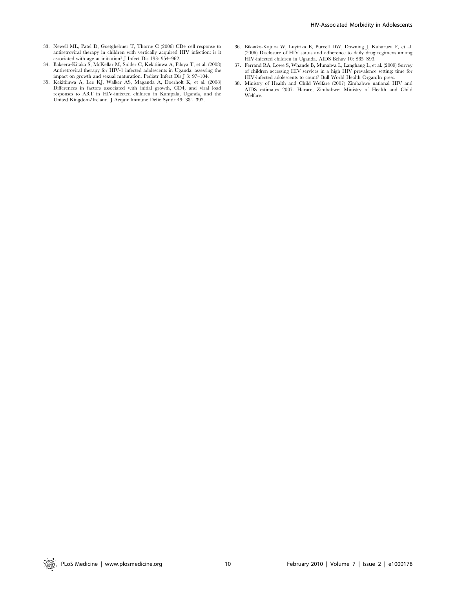- 33. Newell ML, Patel D, Goetghebuer T, Thorne C (2006) CD4 cell response to antiretroviral therapy in children with vertically acquired HIV infection: is it associated with age at initiation? J Infect Dis 193: 954–962.
- 34. Bakeera-Kitaka S, McKellar M, Snider C, Kekitiinwa A, Piloya T, et al. (2008) Antiretroviral therapy for HIV-1 infected adolescents in Uganda: assessing the impact on growth and sexual maturation. Pediatr Infect Dis J 3: 97–104.
- 35. Kekitiinwa A, Lee KJ, Walker AS, Maganda A, Doerholt K, et al. (2008) Differences in factors associated with initial growth, CD4, and viral load responses to ART in HIV-infected children in Kampala, Uganda, and the United Kingdom/Ireland. J Acquir Immune Defic Syndr 49: 384–392.
- 36. Bikaako-Kajura W, Luyirika E, Purcell DW, Downing J, Kaharuza F, et al. (2006) Disclosure of HIV status and adherence to daily drug regimens among HIV-infected children in Uganda. AIDS Behav 10: S85–S93.
- 37. Ferrand RA, Lowe S, Whande B, Munaiwa L, Langhaug L, et al. (2009) Survey of children accessing HIV services in a high HIV prevalence setting: time for HIV-infected adolescents to count? Bull World Health Organ;In press.
- 38. Ministry of Health and Child Welfare (2007) Zimbabwe national HIV and AIDS estimates 2007. Harare, Zimbabwe: Ministry of Health and Child Welfare.